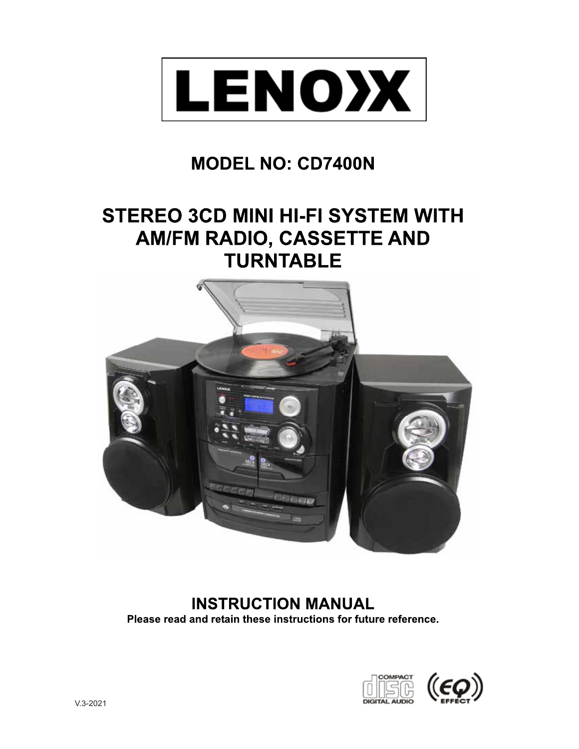

# **MODEL NO: CD7400N**

# **STEREO 3CD MINI HI-FI SYSTEM WITH** AM/FM RADIO, CASSETTE AND **TURNTABLE**



**INSTRUCTION MANUAL** Please read and retain these instructions for future reference.

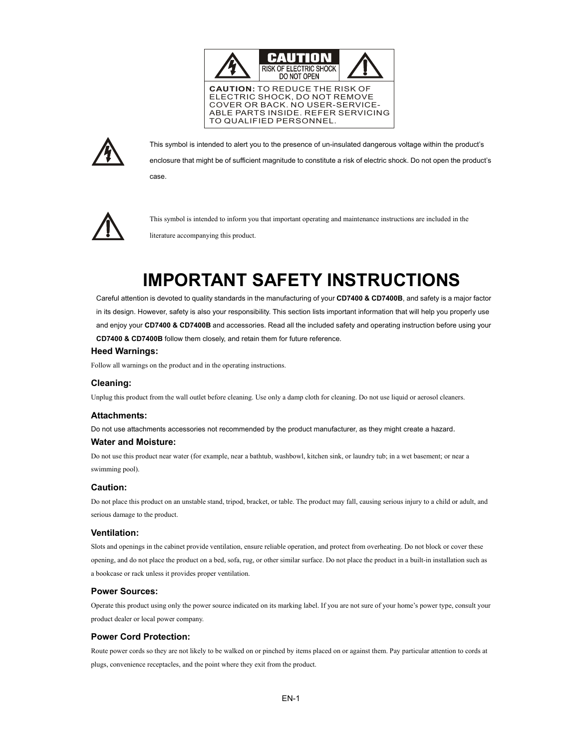



This symbol is intended to alert you to the presence of un-insulated dangerous voltage within the product's enclosure that might be of sufficient magnitude to constitute a risk of electric shock. Do not open the product's

case.



This symbol is intended to inform you that important operating and maintenance instructions are included in the literature accompanying this product.

# **IMPORTANT SAFETY INSTRUCTIONS**

Careful attention is devoted to quality standards in the manufacturing of your **CD7400 & CD7400B**, and safety is a major factor in its design. However, safety is also your responsibility. This section lists important information that will help you properly use and enjoy your **CD7400 & CD7400B** and accessories. Read all the included safety and operating instruction before using your **CD7400 & CD7400B** follow them closely, and retain them for future reference.

# **Heed Warnings:**

Follow all warnings on the product and in the operating instructions.

# **Cleaning:**

Unplug this product from the wall outlet before cleaning. Use only a damp cloth for cleaning. Do not use liquid or aerosol cleaners.

# **Attachments:**

Do not use attachments accessories not recommended by the product manufacturer, as they might create a hazard.

#### **Water and Moisture:**

Do not use this product near water (for example, near a bathtub, washbowl, kitchen sink, or laundry tub; in a wet basement; or near a swimming pool).

#### **Caution:**

Do not place this product on an unstable stand, tripod, bracket, or table. The product may fall, causing serious injury to a child or adult, and serious damage to the product.

# **Ventilation:**

Slots and openings in the cabinet provide ventilation, ensure reliable operation, and protect from overheating. Do not block or cover these opening, and do not place the product on a bed, sofa, rug, or other similar surface. Do not place the product in a built-in installation such as a bookcase or rack unless it provides proper ventilation.

# **Power Sources:**

Operate this product using only the power source indicated on its marking label. If you are not sure of your home's power type, consult your product dealer or local power company.

# **Power Cord Protection:**

Route power cords so they are not likely to be walked on or pinched by items placed on or against them. Pay particular attention to cords at plugs, convenience receptacles, and the point where they exit from the product.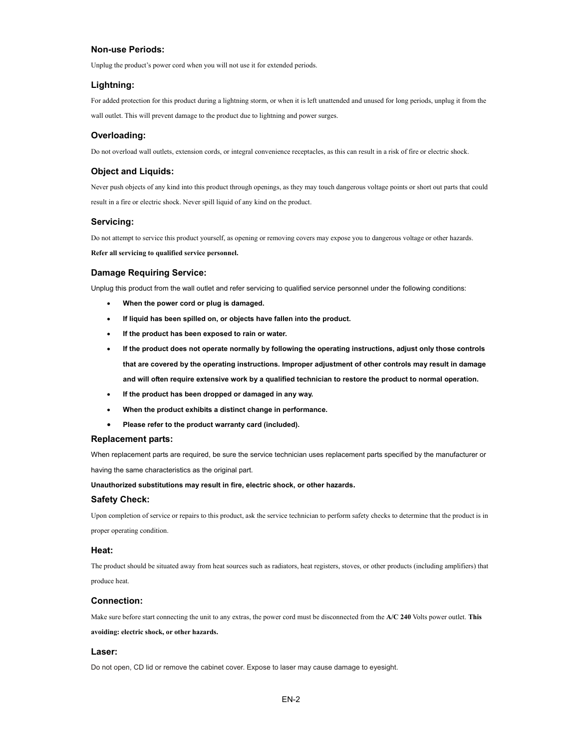#### **Non-use Periods:**

Unplug the product's power cord when you will not use it for extended periods.

#### **Lightning:**

For added protection for this product during a lightning storm, or when it is left unattended and unused for long periods, unplug it from the wall outlet. This will prevent damage to the product due to lightning and power surges.

#### **Overloading:**

Do not overload wall outlets, extension cords, or integral convenience receptacles, as this can result in a risk of fire or electric shock.

#### **Object and Liquids:**

Never push objects of any kind into this product through openings, as they may touch dangerous voltage points or short out parts that could result in a fire or electric shock. Never spill liquid of any kind on the product.

#### **Servicing:**

Do not attempt to service this product yourself, as opening or removing covers may expose you to dangerous voltage or other hazards.

**Refer all servicing to qualified service personnel.**

#### **Damage Requiring Service:**

Unplug this product from the wall outlet and refer servicing to qualified service personnel under the following conditions:

- x **When the power cord or plug is damaged.**
- If liquid has been spilled on, or objects have fallen into the product.
- If the product has been exposed to rain or water.
- If the product does not operate normally by following the operating instructions, adjust only those controls **that are covered by the operating instructions. Improper adjustment of other controls may result in damage and will often require extensive work by a qualified technician to restore the product to normal operation.**
- If the product has been dropped or damaged in any way.
- x **When the product exhibits a distinct change in performance.**
- Please refer to the product warranty card (included).

#### **Replacement parts:**

When replacement parts are required, be sure the service technician uses replacement parts specified by the manufacturer or having the same characteristics as the original part.

**Unauthorized substitutions may result in fire, electric shock, or other hazards.** 

#### **Safety Check:**

Upon completion of service or repairs to this product, ask the service technician to perform safety checks to determine that the product is in proper operating condition.

#### **Heat:**

The product should be situated away from heat sources such as radiators, heat registers, stoves, or other products (including amplifiers) that produce heat.

#### **Connection:**

Make sure before start connecting the unit to any extras, the power cord must be disconnected from the **A/C 240** Volts power outlet. **This avoiding: electric shock, or other hazards.**

#### **Laser:**

Do not open, CD lid or remove the cabinet cover. Expose to laser may cause damage to eyesight.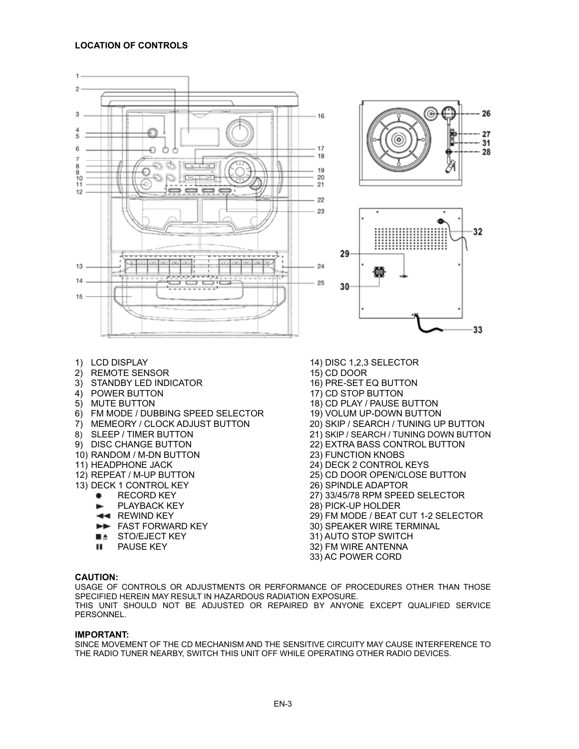# **LOCATION OF CONTROLS**

 $\mathbf{1}$  $\overline{2}$ 

3

5

6

 $\overline{7}$ 8

ğ

 $10$ 

 $11$ 

 $12$ 

13

 $14$ 

15



# **CAUTION:**

USAGE OF CONTROLS OR ADJUSTMENTS OR PERFORMANCE OF PROCEDURES OTHER THAN THOSE SPECIFIED HEREIN MAY RESULT IN HAZARDOUS RADIATION EXPOSURE. THIS UNIT SHOULD NOT BE ADJUSTED OR REPAIRED BY ANYONE EXCEPT QUALIFIED SERVICE PERSONNEL.

# **IMPORTANT:**

SINCE MOVEMENT OF THE CD MECHANISM AND THE SENSITIVE CIRCUITY MAY CAUSE INTERFERENCE TO THE RADIO TUNER NEARBY, SWITCH THIS UNIT OFF WHILE OPERATING OTHER RADIO DEVICES.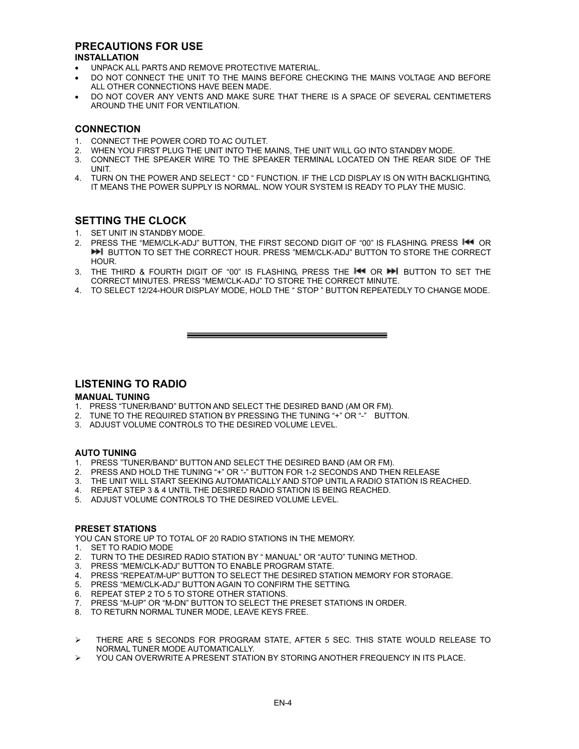# **PRECAUTIONS FOR USE**

# **INSTALLATION**

- UNPACK ALL PARTS AND REMOVE PROTECTIVE MATERIAL.
- DO NOT CONNECT THE UNIT TO THE MAINS BEFORE CHECKING THE MAINS VOLTAGE AND BEFORE ALL OTHER CONNECTIONS HAVE BEEN MADE.
- DO NOT COVER ANY VENTS AND MAKE SURE THAT THERE IS A SPACE OF SEVERAL CENTIMETERS AROUND THE UNIT FOR VENTILATION.

# **CONNECTION**

- 
- 1. CONNECT THE POWER CORD TO AC OUTLET.<br>2. WHEN YOU FIRST PLUG THE UNIT INTO THE M 2. WHEN YOU FIRST PLUG THE UNIT INTO THE MAINS, THE UNIT WILL GO INTO STANDBY MODE.
- 3. CONNECT THE SPEAKER WIRE TO THE SPEAKER TERMINAL LOCATED ON THE REAR SIDE OF THE UNIT.
- 4. TURN ON THE POWER AND SELECT " CD " FUNCTION. IF THE LCD DISPLAY IS ON WITH BACKLIGHTING, IT MEANS THE POWER SUPPLY IS NORMAL. NOW YOUR SYSTEM IS READY TO PLAY THE MUSIC.

# **SETTING THE CLOCK**

- 1. SET UNIT IN STANDBY MODE.
- 2. PRESS THE "MEM/CLK-ADJ" BUTTON, THE FIRST SECOND DIGIT OF "00" IS FLASHING, PRESS **I+4** OR **BUTTON TO SET THE CORRECT HOUR. PRESS "MEM/CLK-ADJ" BUTTON TO STORE THE CORRECT** HOUR.
- 3. THE THIRD & FOURTH DIGIT OF "00" IS FLASHING, PRESS THE ILL OR DI BUTTON TO SET THE CORRECT MINUTES. PRESS "MEM/CLK-ADJ" TO STORE THE CORRECT MINUTE.
- 4. TO SELECT 12/24-HOUR DISPLAY MODE, HOLD THE " STOP " BUTTON REPEATEDLY TO CHANGE MODE.

and the control of the control of the control of the control of the control of the control of the control of the

# **LISTENING TO RADIO**

# **MANUAL TUNING**

- 1. PRESS "TUNER/BAND" BUTTON AND SELECT THE DESIRED BAND (AM OR FM).
- 2. TUNE TO THE REQUIRED STATION BY PRESSING THE TUNING "+" OR "-" BUTTON.
- 3. ADJUST VOLUME CONTROLS TO THE DESIRED VOLUME LEVEL.

# **AUTO TUNING**

- 1. PRESS "TUNER/BAND" BUTTON AND SELECT THE DESIRED BAND (AM OR FM).
- 2. PRESS AND HOLD THE TUNING "+" OR "-" BUTTON FOR 1-2 SECONDS AND THEN RELEASE
- 3. THE UNIT WILL START SEEKING AUTOMATICALLY AND STOP UNTIL A RADIO STATION IS REACHED.
- 4. REPEAT STEP 3 & 4 UNTIL THE DESIRED RADIO STATION IS BEING REACHED.<br>5. AD ILIST VOLLIME CONTROLS TO THE DESIRED VOLLIME LEVEL
- ADJUST VOLUME CONTROLS TO THE DESIRED VOLUME LEVEL.

# **PRESET STATIONS**

YOU CAN STORE UP TO TOTAL OF 20 RADIO STATIONS IN THE MEMORY.

- 1. SET TO RADIO MODE
- 2. TURN TO THE DESIRED RADIO STATION BY " MANUAL" OR "AUTO" TUNING METHOD.
- 3. PRESS "MEM/CLK-ADJ" BUTTON TO ENABLE PROGRAM STATE.
- 4. PRESS "REPEAT/M-UP" BUTTON TO SELECT THE DESIRED STATION MEMORY FOR STORAGE.<br>5. PRESS "MEM/CLK-ADJ" BUTTON AGAIN TO CONFIRM THE SETTING
- 5. PRESS "MEM/CLK-ADJ" BUTTON AGAIN TO CONFIRM THE SETTING.<br>6. REPEAT STEP 2 TO 5 TO STORE OTHER STATIONS
- REPEAT STEP 2 TO 5 TO STORE OTHER STATIONS.
- 7. PRESS "M-UP" OR "M-DN" BUTTON TO SELECT THE PRESET STATIONS IN ORDER.<br>8. TO RETURN NORMAL TUNER MODE LEAVE KEYS ERFE
- TO RETURN NORMAL TUNER MODE, LEAVE KEYS FREE.
- ¾ THERE ARE 5 SECONDS FOR PROGRAM STATE, AFTER 5 SEC. THIS STATE WOULD RELEASE TO NORMAL TUNER MODE AUTOMATICALLY.
- ¾ YOU CAN OVERWRITE A PRESENT STATION BY STORING ANOTHER FREQUENCY IN ITS PLACE.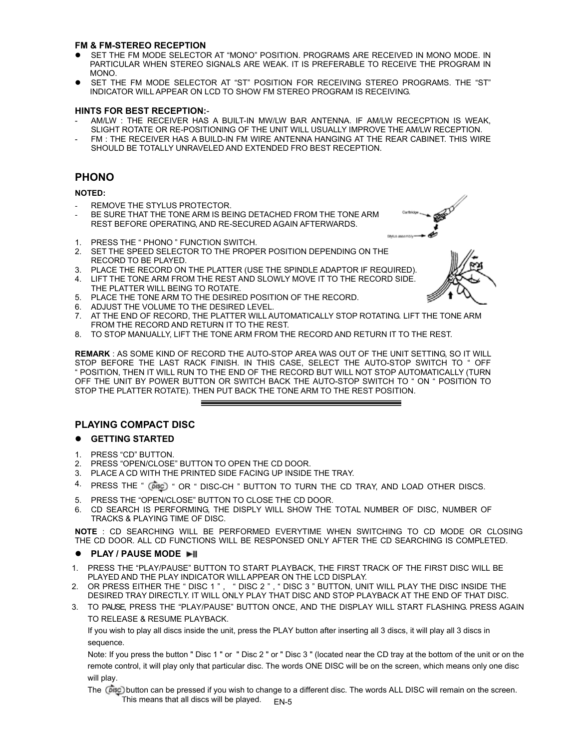# **FM & FM-STEREO RECEPTION**

- SET THE FM MODE SELECTOR AT "MONO" POSITION. PROGRAMS ARE RECEIVED IN MONO MODE. IN PARTICULAR WHEN STEREO SIGNALS ARE WEAK. IT IS PREFERABLE TO RECEIVE THE PROGRAM IN MONO.
- SET THE FM MODE SELECTOR AT "ST" POSITION FOR RECEIVING STEREO PROGRAMS. THE "ST" INDICATOR WILL APPEAR ON LCD TO SHOW FM STEREO PROGRAM IS RECEIVING.

# **HINTS FOR BEST RECEPTION:**-

- AM/LW : THE RECEIVER HAS A BUILT-IN MW/LW BAR ANTENNA. IF AM/LW RECECPTION IS WEAK, SLIGHT ROTATE OR RE-POSITIONING OF THE UNIT WILL USUALLY IMPROVE THE AM/LW RECEPTION.
- FM : THE RECEIVER HAS A BUILD-IN FM WIRE ANTENNA HANGING AT THE REAR CABINET. THIS WIRE SHOULD BE TOTALLY UNRAVELED AND EXTENDED FRO BEST RECEPTION.

# **PHONO**

# **NOTED:**

- REMOVE THE STYLUS PROTECTOR.
- BE SURE THAT THE TONE ARM IS BEING DETACHED FROM THE TONE ARM REST BEFORE OPERATING, AND RE-SECURED AGAIN AFTERWARDS.
- 1. PRESS THE " PHONO " FUNCTION SWITCH.
- 2. SET THE SPEED SELECTOR TO THE PROPER POSITION DEPENDING ON THE RECORD TO BE PLAYED.
- 3. PLACE THE RECORD ON THE PLATTER (USE THE SPINDLE ADAPTOR IF REQUIRED).
- 4. LIFT THE TONE ARM FROM THE REST AND SLOWLY MOVE IT TO THE RECORD SIDE. THE PLATTER WILL BEING TO ROTATE.
- 5. PLACE THE TONE ARM TO THE DESIRED POSITION OF THE RECORD.
- 
- 6. ADJUST THE VOLUME TO THE DESIRED LEVEL.<br>7. AT THE END OF RECORD. THE PLATTER WILL A AT THE END OF RECORD, THE PLATTER WILL AUTOMATICALLY STOP ROTATING. LIFT THE TONE ARM FROM THE RECORD AND RETURN IT TO THE REST.
- 8. TO STOP MANUALLY, LIFT THE TONE ARM FROM THE RECORD AND RETURN IT TO THE REST.

**REMARK** : AS SOME KIND OF RECORD THE AUTO-STOP AREA WAS OUT OF THE UNIT SETTING, SO IT WILL STOP BEFORE THE LAST RACK FINISH. IN THIS CASE, SELECT THE AUTO-STOP SWITCH TO " OFF " POSITION, THEN IT WILL RUN TO THE END OF THE RECORD BUT WILL NOT STOP AUTOMATICALLY (TURN OFF THE UNIT BY POWER BUTTON OR SWITCH BACK THE AUTO-STOP SWITCH TO " ON " POSITION TO STOP THE PLATTER ROTATE). THEN PUT BACK THE TONE ARM TO THE REST POSITION.

# **PLAYING COMPACT DISC**

# $\bullet$  GETTING STARTED

- 1. PRESS "CD" BUTTON.
- 2. PRESS "OPEN/CLOSE" BUTTON TO OPEN THE CD DOOR.
- 3. PLACE A CD WITH THE PRINTED SIDE FACING UP INSIDE THE TRAY.
- 4. PRESS THE "  $\overline{Obs}$  " OR " DISC-CH " BUTTON TO TURN THE CD TRAY, AND LOAD OTHER DISCS.
- 5. PRESS THE "OPEN/CLOSE" BUTTON TO CLOSE THE CD DOOR.
- 6. CD SEARCH IS PERFORMING, THE DISPLY WILL SHOW THE TOTAL NUMBER OF DISC, NUMBER OF TRACKS & PLAYING TIME OF DISC.

**NOTE** : CD SEARCHING WILL BE PERFORMED EVERYTIME WHEN SWITCHING TO CD MODE OR CLOSING THE CD DOOR. ALL CD FUNCTIONS WILL BE RESPONSED ONLY AFTER THE CD SEARCHING IS COMPLETED.

# $\bullet$  PLAY / PAUSE MODE  $\blacktriangleright$ ll

- 1. PRESS THE "PLAY/PAUSE" BUTTON TO START PLAYBACK, THE FIRST TRACK OF THE FIRST DISC WILL BE PLAYED AND THE PLAY INDICATOR WILL APPEAR ON THE LCD DISPLAY.
- 2. OR PRESS EITHER THE " DISC 1 ", " DISC 2 ", " DISC 3 " BUTTON, UNIT WILL PLAY THE DISC INSIDE THE DESIRED TRAY DIRECTLY. IT WILL ONLY PLAY THAT DISC AND STOP PLAYBACK AT THE END OF THAT DISC.
- 3. TO PAUSE PRESS THE "PLAY/PAUSE" BUTTON ONCE, AND THE DISPLAY WILL START FLASHING, PRESS AGAIN TO RELEASE & RESUME PLAYBACK.

If you wish to play all discs inside the unit, press the PLAY button after inserting all 3 discs, it will play all 3 discs in sequence

Note: If you press the button " Disc 1 " or " Disc 2 " or " Disc 3 " (located near the CD tray at the bottom of the unit or on the remote control, it will play only that particular disc. The words ONE DISC will be on the screen, which means only one disc will play.

The **DROF** button can be pressed if you wish to change to a different disc. The words ALL DISC will remain on the screen. This means that all discs will be played.  $F_{N-5}$ 

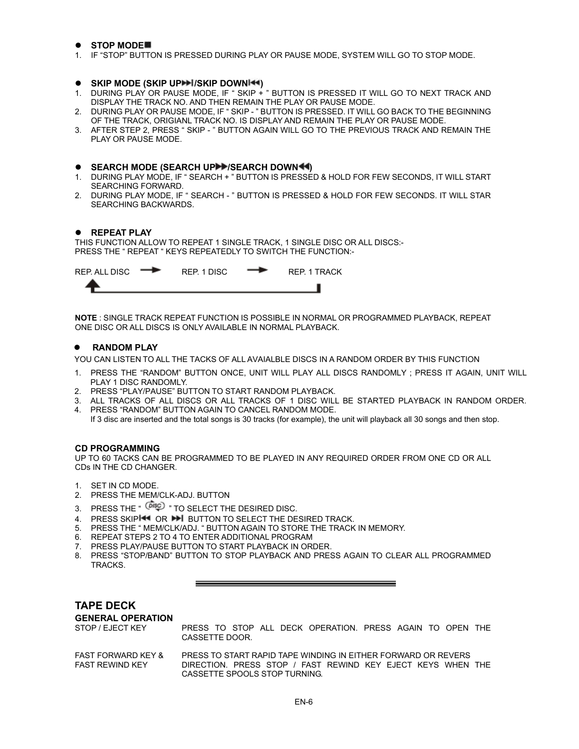# $\bullet$  STOP MODE

1. IF "STOP" BUTTON IS PRESSED DURING PLAY OR PAUSE MODE, SYSTEM WILL GO TO STOP MODE.

# $\bullet$  SKIP MODE (SKIP UP $\blacktriangleright$  I/SKIP DOWNI $\blacktriangleleft$ )

- 1. DURING PLAY OR PAUSE MODE, IF " SKIP + " BUTTON IS PRESSED IT WILL GO TO NEXT TRACK AND DISPLAY THE TRACK NO. AND THEN REMAIN THE PLAY OR PAUSE MODE.
- 2. DURING PLAY OR PAUSE MODE, IF " SKIP " BUTTON IS PRESSED. IT WILL GO BACK TO THE BEGINNING OF THE TRACK, ORIGIANL TRACK NO. IS DISPLAY AND REMAIN THE PLAY OR PAUSE MODE.
- 3. AFTER STEP 2, PRESS " SKIP " BUTTON AGAIN WILL GO TO THE PREVIOUS TRACK AND REMAIN THE PLAY OR PAUSE MODE.

#### $\bullet$  SEARCH MODE (SEARCH UP**PP**/SEARCH DOWN<sup>44</sup>)

- 1. DURING PLAY MODE, IF " SEARCH + " BUTTON IS PRESSED & HOLD FOR FEW SECONDS, IT WILL START SEARCHING FORWARD.
- 2. DURING PLAY MODE, IF " SEARCH " BUTTON IS PRESSED & HOLD FOR FEW SECONDS. IT WILL STAR SEARCHING BACKWARDS.

# $\bullet$  REPEAT PLAY

THIS FUNCTION ALLOW TO REPEAT 1 SINGLE TRACK, 1 SINGLE DISC OR ALL DISCS:- PRESS THE " REPEAT " KEYS REPEATEDLY TO SWITCH THE FUNCTION:-

| REP. ALL DISC | REP. 1 DISC | <b>REP. 1 TRACK</b> |
|---------------|-------------|---------------------|
|               |             |                     |

**NOTE** : SINGLE TRACK REPEAT FUNCTION IS POSSIBLE IN NORMAL OR PROGRAMMED PLAYBACK, REPEAT ONE DISC OR ALL DISCS IS ONLY AVAILABLE IN NORMAL PLAYBACK.

# **RANDOM PLAY**

YOU CAN LISTEN TO ALL THE TACKS OF ALL AVAIALBLE DISCS IN A RANDOM ORDER BY THIS FUNCTION

- 1. PRESS THE "RANDOM" BUTTON ONCE, UNIT WILL PLAY ALL DISCS RANDOMLY: PRESS IT AGAIN, UNIT WILL PLAY 1 DISC RANDOMLY.
- 2. PRESS "PLAY/PAUSE" BUTTON TO START RANDOM PLAYBACK.
- 3. ALL TRACKS OF ALL DISCS OR ALL TRACKS OF 1 DISC WILL BE STARTED PLAYBACK IN RANDOM ORDER. 4. PRESS "RANDOM" BUTTON AGAIN TO CANCEL RANDOM MODE.
- If 3 disc are inserted and the total songs is 30 tracks (for example), the unit will playback all 30 songs and then stop.

#### **CD PROGRAMMING**

UP TO 60 TACKS CAN BE PROGRAMMED TO BE PLAYED IN ANY REQUIRED ORDER FROM ONE CD OR ALL CDs IN THE CD CHANGER.

- 1. SET IN CD MODE.
- 2. PRESS THE MEM/CLK-ADJ. BUTTON
- 3. PRESS THE "  $\widehat{O}$ <sup>18</sup>C<sup>)</sup> " TO SELECT THE DESIRED DISC.
- 4. PRESS SKIPI<sup>44</sup> OR **BUTTON TO SELECT THE DESIRED TRACK.**
- 5. PRESS THE " MEM/CLK/ADJ. " BUTTON AGAIN TO STORE THE TRACK IN MEMORY.
- 6. REPEAT STEPS 2 TO 4 TO ENTER ADDITIONAL PROGRAM
- 7. PRESS PLAY/PAUSE BUTTON TO START PLAYBACK IN ORDER.
- 8. PRESS "STOP/BAND" BUTTON TO STOP PLAYBACK AND PRESS AGAIN TO CLEAR ALL PROGRAMMED TRACKS.

| <b>TAPE DECK</b>         |              |  |  |  |  |  |  |
|--------------------------|--------------|--|--|--|--|--|--|
| <b>GENERAL OPERATION</b> |              |  |  |  |  |  |  |
| STOP / EJECT KEY         | PRESS TO ST  |  |  |  |  |  |  |
|                          | CASSETTE DOC |  |  |  |  |  |  |

OP ALL DECK OPERATION. PRESS AGAIN TO OPEN THE DR.

FAST FORWARD KEY & PRESS TO START RAPID TAPE WINDING IN EITHER FORWARD OR REVERS DIRECTION. PRESS STOP / FAST REWIND KEY EJECT KEYS WHEN THE CASSETTE SPOOLS STOP TURNING.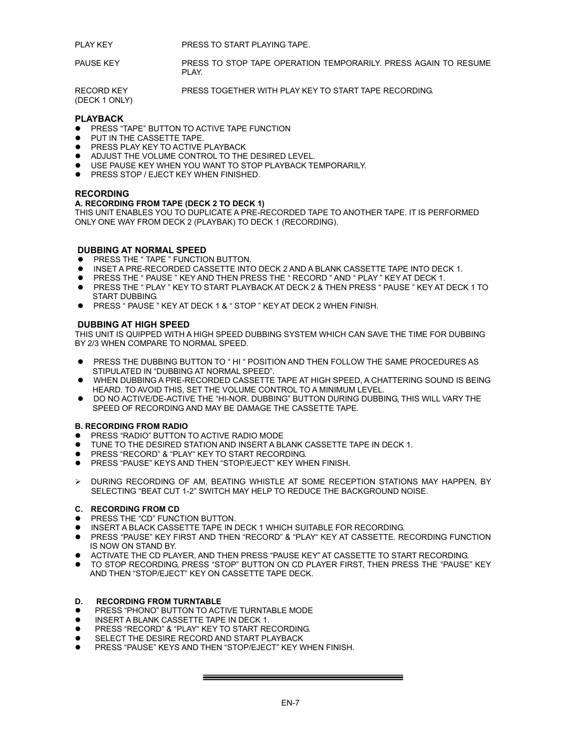PLAY KEY PRESS TO START PLAYING TAPE.

PAUSE KEY PRESS TO STOP TAPE OPERATION TEMPORARILY. PRESS AGAIN TO RESUME PLAY.

RECORD KEY PRESS TOGETHER WITH PLAY KEY TO START TAPE RECORDING.

(DECK 1 ONLY)

# **PLAYBACK**

- **PRESS "TAPE" BUTTON TO ACTIVE TAPE FUNCTION**
- PUT IN THE CASSETTE TAPE.
- PRESS PLAY KEY TO ACTIVE PLAYBACK
- $\bullet$  ADJUST THE VOLUME CONTROL TO THE DESIRED LEVEL.
- USE PAUSE KEY WHEN YOU WANT TO STOP PLAYBACK TEMPORARILY.
- **PRESS STOP / EJECT KEY WHEN FINISHED.**

#### **RECORDING**

# **A. RECORDING FROM TAPE (DECK 2 TO DECK 1)**

THIS UNIT ENABLES YOU TO DUPLICATE A PRE-RECORDED TAPE TO ANOTHER TAPE. IT IS PERFORMED ONLY ONE WAY FROM DECK 2 (PLAYBAK) TO DECK 1 (RECORDING).

#### **DUBBING AT NORMAL SPEED**

- PRESS THE " TAPE " FUNCTION BUTTON.
- $\bullet$  INSET A PRE-RECORDED CASSETTE INTO DECK 2 AND A BLANK CASSETTE TAPE INTO DECK 1.
- PRESS THE " PAUSE " KEY AND THEN PRESS THE " RECORD " AND " PLAY " KEY AT DECK 1.
- PRESS THE " PLAY " KEY TO START PLAYBACK AT DECK 2 & THEN PRESS " PAUSE " KEY AT DECK 1 TO START DUBBING.
- **•** PRESS " PAUSE " KEY AT DECK 1 & " STOP " KEY AT DECK 2 WHEN FINISH.

# **DUBBING AT HIGH SPEED**

THIS UNIT IS QUIPPED WITH A HIGH SPEED DUBBING SYSTEM WHICH CAN SAVE THE TIME FOR DUBBING BY 2/3 WHEN COMPARE TO NORMAL SPEED.

- PRESS THE DUBBING BUTTON TO "HI" POSITION AND THEN FOLLOW THE SAME PROCEDURES AS STIPULATED IN "DUBBING AT NORMAL SPEED".
- $\bullet$  WHEN DUBBING A PRE-RECORDED CASSETTE TAPE AT HIGH SPEED. A CHATTERING SOUND IS BEING HEARD. TO AVOID THIS, SET THE VOLUME CONTROL TO A MINIMUM LEVEL.
- $\bullet$  DO NO ACTIVE/DE-ACTIVE THE "HI-NOR. DUBBING" BUTTON DURING DUBBING, THIS WILL VARY THE SPEED OF RECORDING AND MAY BE DAMAGE THE CASSETTE TAPE.

#### **B. RECORDING FROM RADIO**

- PRESS "RADIO" BUTTON TO ACTIVE RADIO MODE
- TUNE TO THE DESIRED STATION AND INSERT A BLANK CASSETTE TAPE IN DECK 1.
- **PRESS "RECORD" & "PLAY" KEY TO START RECORDING.**
- PRESS "PAUSE" KEYS AND THEN "STOP/EJECT" KEY WHEN FINISH.
- ¾ DURING RECORDING OF AM, BEATING WHISTLE AT SOME RECEPTION STATIONS MAY HAPPEN, BY SELECTING "BEAT CUT 1-2" SWITCH MAY HELP TO REDUCE THE BACKGROUND NOISE.

#### **C. RECORDING FROM CD**

- PRESS THE "CD" FUNCTION BUTTON.
- INSERT A BLACK CASSETTE TAPE IN DECK 1 WHICH SUITABLE FOR RECORDING.
- PRESS "PAUSE" KEY FIRST AND THEN "RECORD" & "PLAY" KEY AT CASSETTE. RECORDING FUNCTION IS NOW ON STAND BY.
- ACTIVATE THE CD PLAYER, AND THEN PRESS "PAUSE KEY" AT CASSETTE TO START RECORDING.
- $\bullet$  TO STOP RECORDING, PRESS "STOP" BUTTON ON CD PLAYER FIRST, THEN PRESS THE "PAUSE" KEY AND THEN "STOP/EJECT" KEY ON CASSETTE TAPE DECK.

#### **D. RECORDING FROM TURNTABLE**

- PRESS "PHONO" BUTTON TO ACTIVE TURNTABLE MODE
- INSERT A BLANK CASSETTE TAPE IN DECK 1.
- PRESS "RECORD" & "PLAY" KEY TO START RECORDING.
- SELECT THE DESIRE RECORD AND START PLAYBACK
- PRESS "PAUSE" KEYS AND THEN "STOP/EJECT" KEY WHEN FINISH.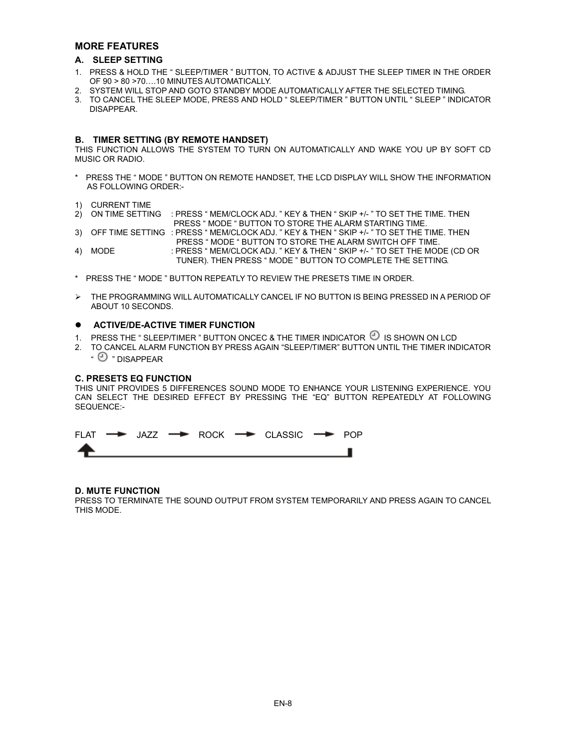# **MORE FEATURES**

# **A. SLEEP SETTING**

- 1. PRESS & HOLD THE " SLEEP/TIMER " BUTTON, TO ACTIVE & ADJUST THE SLEEP TIMER IN THE ORDER OF 90 > 80 >70….10 MINUTES AUTOMATICALLY.
- 2. SYSTEM WILL STOP AND GOTO STANDBY MODE AUTOMATICALLY AFTER THE SELECTED TIMING.
- 3. TO CANCEL THE SLEEP MODE, PRESS AND HOLD " SLEEP/TIMER " BUTTON UNTIL " SLEEP " INDICATOR DISAPPEAR.

#### **B. TIMER SETTING (BY REMOTE HANDSET)**

THIS FUNCTION ALLOWS THE SYSTEM TO TURN ON AUTOMATICALLY AND WAKE YOU UP BY SOFT CD MUSIC OR RADIO.

- \* PRESS THE " MODE " BUTTON ON REMOTE HANDSET, THE LCD DISPLAY WILL SHOW THE INFORMATION AS FOLLOWING ORDER:-
- 1) CURRENT TIME
- 2) ON TIME SETTING : PRESS " MEM/CLOCK ADJ. " KEY & THEN " SKIP +/- " TO SET THE TIME. THEN PRESS " MODE " BUTTON TO STORE THE ALARM STARTING TIME.
- 3) OFF TIME SETTING : PRESS " MEM/CLOCK ADJ. " KEY & THEN " SKIP +/- " TO SET THE TIME. THEN
- PRESS " MODE " BUTTON TO STORE THE ALARM SWITCH OFF TIME. 4) MODE : PRESS " MEM/CLOCK ADJ. " KEY & THEN " SKIP +/- " TO SET THE MODE (CD OR TUNER). THEN PRESS " MODE " BUTTON TO COMPLETE THE SETTING.
- \* PRESS THE " MODE " BUTTON REPEATLY TO REVIEW THE PRESETS TIME IN ORDER.
- ¾ THE PROGRAMMING WILL AUTOMATICALLY CANCEL IF NO BUTTON IS BEING PRESSED IN A PERIOD OF ABOUT 10 SECONDS.

# $\bullet$  ACTIVE/DE-ACTIVE TIMER FUNCTION

- 1. PRESS THE "SLEEP/TIMER" BUTTON ONCEC & THE TIMER INDICATOR  $\mathfrak{D}$  is shown on LCD
- 2. TO CANCEL ALARM FUNCTION BY PRESS AGAIN "SLEEP/TIMER" BUTTON UNTIL THE TIMER INDICATOR  $\cdot \odot \cdot$  DISAPPEAR

## **C. PRESETS EQ FUNCTION**

THIS UNIT PROVIDES 5 DIFFERENCES SOUND MODE TO ENHANCE YOUR LISTENING EXPERIENCE. YOU CAN SELECT THE DESIRED EFFECT BY PRESSING THE "EQ" BUTTON REPEATEDLY AT FOLLOWING SEQUENCE:-



# **D. MUTE FUNCTION**

PRESS TO TERMINATE THE SOUND OUTPUT FROM SYSTEM TEMPORARILY AND PRESS AGAIN TO CANCEL THIS MODE.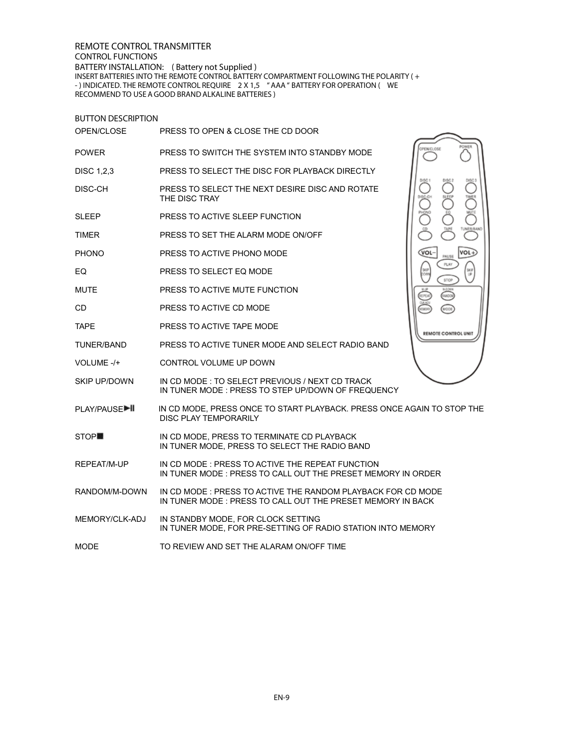**REMOTE CONTROL TRANSMITTER CONTROL FUNCTIONS BATTERY INSTALLATION: ( Battery not Supplied )**

INSERT BATTERIES INTO THE REMOTE CONTROL BATTERY COMPARTMENT FOLLOWING THE POLARITY ( + - ) INDICATED. THE REMOTE CONTROL REQUIRE 2 X 1,5 " AAA " BATTERY FOR OPERATION ( WE RECOMMEND TO USE A GOOD BRAND ALKALINE BATTERIES )

| <b>BUTTON DESCRIPTION</b> |                                                                                                                           |                      |  |
|---------------------------|---------------------------------------------------------------------------------------------------------------------------|----------------------|--|
| OPEN/CLOSE                | PRESS TO OPEN & CLOSE THE CD DOOR                                                                                         |                      |  |
| <b>POWER</b>              | PRESS TO SWITCH THE SYSTEM INTO STANDBY MODE                                                                              | PENICLOSE            |  |
| <b>DISC 1.2.3</b>         | PRESS TO SELECT THE DISC FOR PLAYBACK DIRECTLY                                                                            |                      |  |
| DISC-CH                   | PRESS TO SELECT THE NEXT DESIRE DISC AND ROTATE<br>THE DISC TRAY                                                          | TMER<br>C            |  |
| <b>SLEEP</b>              | PRESS TO ACTIVE SLEEP FUNCTION                                                                                            | <b>WUTE</b>          |  |
| <b>TIMER</b>              | PRESS TO SET THE ALARM MODE ON/OFF                                                                                        | TUNER/BAND           |  |
| <b>PHONO</b>              | PRESS TO ACTIVE PHONO MODE                                                                                                | VOL-<br>VOL<br>PAUSE |  |
| EQ                        | PRESS TO SELECT EQ MODE                                                                                                   | PLAY<br>stop         |  |
| <b>MUTE</b>               | PRESS TO ACTIVE MUTE FUNCTION                                                                                             | <b>MON</b>           |  |
| CD.                       | PRESS TO ACTIVE CD MODE                                                                                                   |                      |  |
| <b>TAPE</b>               | PRESS TO ACTIVE TAPE MODE                                                                                                 | REMOTE CONTROL UNIT  |  |
| TUNER/BAND                | PRESS TO ACTIVE TUNER MODE AND SELECT RADIO BAND                                                                          |                      |  |
| VOLUME -/+                | CONTROL VOLUME UP DOWN                                                                                                    |                      |  |
| <b>SKIP UP/DOWN</b>       | IN CD MODE: TO SELECT PREVIOUS / NEXT CD TRACK<br>IN TUNER MODE: PRESS TO STEP UP/DOWN OF FREQUENCY                       |                      |  |
| PLAY/PAUSE▶               | IN CD MODE. PRESS ONCE TO START PLAYBACK. PRESS ONCE AGAIN TO STOP THE<br>DISC PLAY TEMPORARILY                           |                      |  |
| STOP <sup>1</sup>         | IN CD MODE, PRESS TO TERMINATE CD PLAYBACK<br>IN TUNER MODE, PRESS TO SELECT THE RADIO BAND                               |                      |  |
| REPEAT/M-UP               | IN CD MODE: PRESS TO ACTIVE THE REPEAT FUNCTION<br>IN TUNER MODE : PRESS TO CALL OUT THE PRESET MEMORY IN ORDER           |                      |  |
| RANDOM/M-DOWN             | IN CD MODE: PRESS TO ACTIVE THE RANDOM PLAYBACK FOR CD MODE<br>IN TUNER MODE: PRESS TO CALL OUT THE PRESET MEMORY IN BACK |                      |  |
| MEMORY/CLK-ADJ            | IN STANDBY MODE, FOR CLOCK SETTING<br>IN TUNER MODE, FOR PRE-SETTING OF RADIO STATION INTO MEMORY                         |                      |  |
| <b>MODE</b>               | TO REVIEW AND SET THE ALARAM ON/OFF TIME                                                                                  |                      |  |